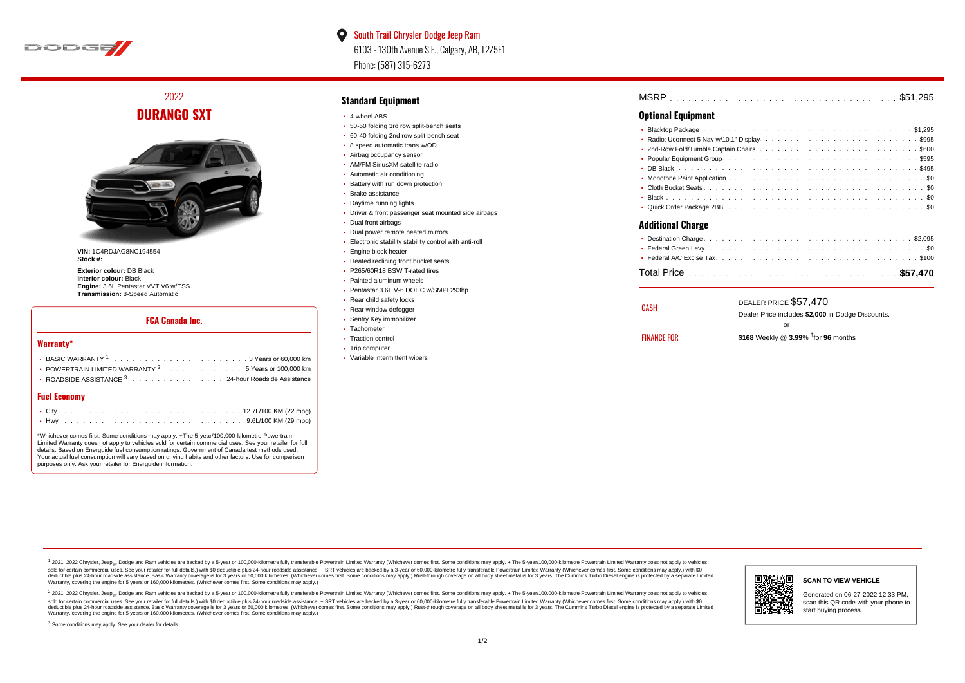

 $\bullet$ South Trail Chrysler Dodge Jeep Ram 6103 - 130th Avenue S.E., Calgary, AB, T2Z5E1 Phone: (587) 315-6273

2022 **DURANGO SXT**



**VIN:** 1C4RDJAG8NC194554 **Stock #:**

**Exterior colour:** DB Black **Interior colour:** Black **Engine:** 3.6L Pentastar VVT V6 w/ESS **Transmission:** 8-Speed Automatic

## **FCA Canada Inc.**

### **Warranty\***

| • POWERTRAIN LIMITED WARRANTY $2, \ldots, \ldots, \ldots, \ldots, 5$ Years or 100.000 km |
|------------------------------------------------------------------------------------------|
| • ROADSIDE ASSISTANCE 3 24-hour Roadside Assistance                                      |
|                                                                                          |

## **Fuel Economy**

\*Whichever comes first. Some conditions may apply. +The 5-year/100,000-kilometre Powertrain Limited Warranty does not apply to vehicles sold for certain commercial uses. See your retailer for full details. Based on Energuide fuel consumption ratings. Government of Canada test methods used. Your actual fuel consumption will vary based on driving habits and other factors. Use for comparison purposes only. Ask your retailer for Energuide information.

## **Standard Equipment**

- 4-wheel ABS
- 50-50 folding 3rd row split-bench seats
- 60-40 folding 2nd row split-bench seat
- 8 speed automatic trans w/OD
- Airbag occupancy sensor AM/FM SiriusXM satellite radio
- Automatic air conditioning
- Battery with run down protection
- Brake assistance
- Daytime running lights
- Driver & front passenger seat mounted side airbags
- Dual front airbags
- Dual power remote heated mirrors
- Electronic stability stability control with anti-roll
- **Engine block heater**
- Heated reclining front bucket seats
- P265/60R18 BSW T-rated tires
- Painted aluminum wheels
- Pentastar 3.6L V-6 DOHC w/SMPI 293hp
- Rear child safety locks
- Rear window defogger
- Sentry Key immobilizer • Tachometer
- Traction control
- Trip computer
- Variable intermittent wipers

. . . . . . . . . . . . . . . . . . . . . . . . . . . . . . . . . . . . . . . . . . . . . . MSRP \$51,295

# **Optional Equipment**

| Additional Charge |
|-------------------|

#### **Additional Charge**

| CASH               | DEALER PRICE \$57,470                              |  |  |  |  |  |  |  |
|--------------------|----------------------------------------------------|--|--|--|--|--|--|--|
|                    | Dealer Price includes \$2,000 in Dodge Discounts.  |  |  |  |  |  |  |  |
|                    | Ωr                                                 |  |  |  |  |  |  |  |
| <b>FINANCE FOR</b> | \$168 Weekly @ $3.99\%$ <sup>†</sup> for 96 months |  |  |  |  |  |  |  |

1 2021, 2022 Chrysler, Jeep.... Dodge and Ram vehicles are backed by a 5-year or 100,000-kilometre fully transferable Powertrain Limited Warranty (Whichever comes first. Some conditions may apply. + The 5-year/100,000-kilo sold for certain commercial uses. See your retailer for full details.) with \$0 deductible plus 24-hour roadside assistance. + SRT vehicles are backed by a 3-year or 60.000-kilometre fully transferable Powertrain Limited Wa detuctible plus 24-hour roadside assistance. Basic Warranty coverage is for 3 years or 60,000 kilometres. Whichever comes first. Some conditions may apply.) Rust-through coverage on all body sheet metals for 3 years. The C Warranty, covering the engine for 5 years or 160,000 kilometres. (Whichever comes first. Some conditions may apply.)

<sup>2</sup> 2021, 2022 Chrysler, Jeep<sub>®</sub>, Dodge and Ram vehicles are backed by a 5-year or 100,000-kilometre fully transferable Powertrain Limited Warranty (Whichever comes first. Some conditions may apply. + The 5-year/100,000-ki sold for certain commercial uses. See your retailer for full details.) with \$0 deductible plus 24-hour roadside assistance. + SRT vehicles are backed by a 3-year or 60.000-kilometre fully transferable Powertrain Limited Wa deductible plus 24-hour roadside assistance. Basic Warranty coverage is for 3 years or 60,000 kilometres. (Whichever comes first. Some conditions may apply.) Rust-through coverage on all body sheet metal is for 3 years. Th



#### **SCAN TO VIEW VEHICLE**

Generated on 06-27-2022 12:33 PM, scan this QR code with your phone to start buying process.

<sup>3</sup> Some conditions may apply. See your dealer for details.